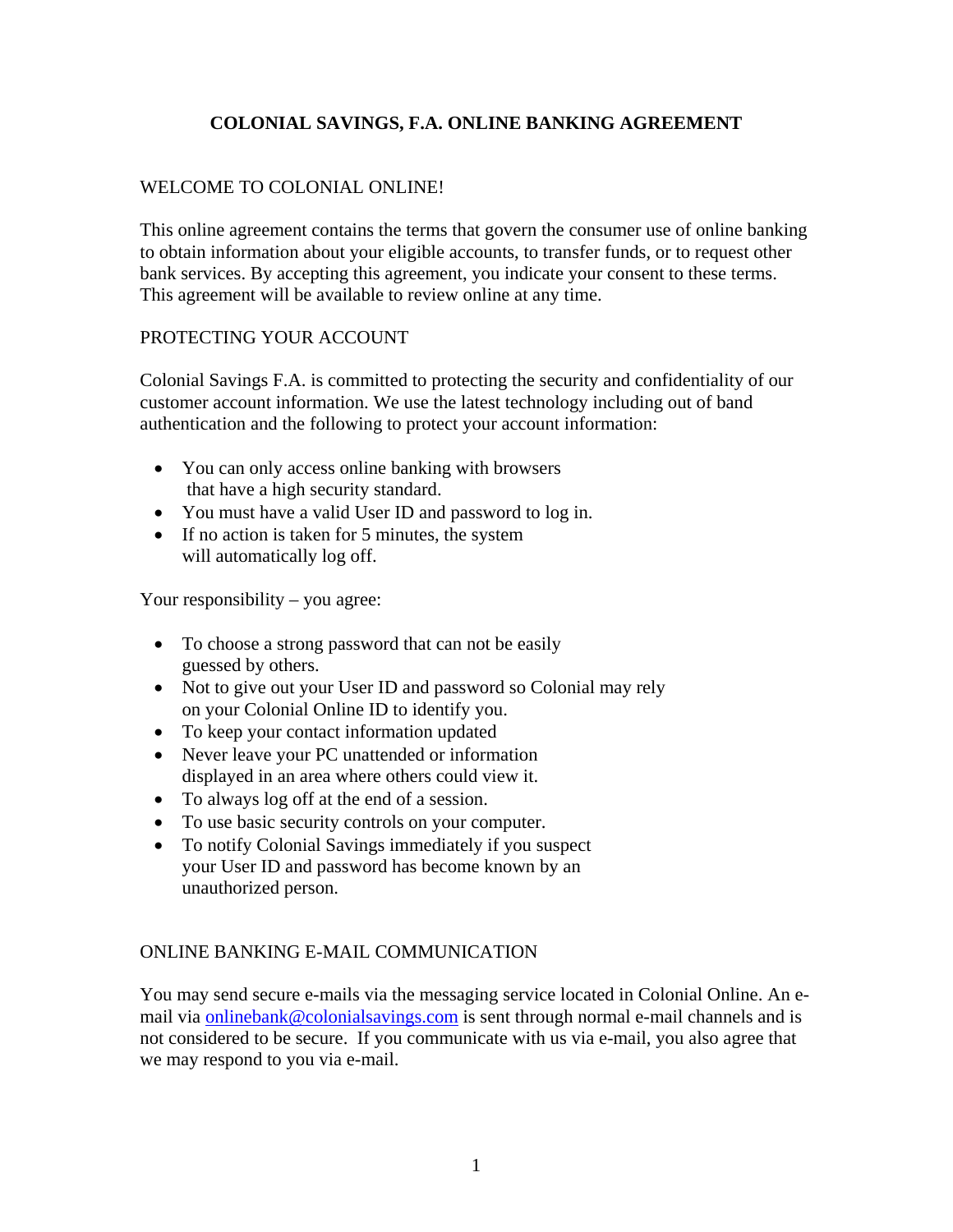## WELCOME TO COLONIAL ONLINE!

This online agreement contains the terms that govern the consumer use of online banking to obtain information about your eligible accounts, to transfer funds, or to request other bank services. By accepting this agreement, you indicate your consent to these terms. This agreement will be available to review online at any time.

### PROTECTING YOUR ACCOUNT

Colonial Savings F.A. is committed to protecting the security and confidentiality of our customer account information. We use the latest technology including out of band authentication and the following to protect your account information:

- You can only access online banking with browsers that have a high security standard.
- You must have a valid User ID and password to log in.
- If no action is taken for 5 minutes, the system will automatically log off.

Your responsibility – you agree:

- To choose a strong password that can not be easily guessed by others.
- Not to give out your User ID and password so Colonial may rely on your Colonial Online ID to identify you.
- To keep your contact information updated
- Never leave your PC unattended or information displayed in an area where others could view it.
- To always log off at the end of a session.
- To use basic security controls on your computer.
- To notify Colonial Savings immediately if you suspect your User ID and password has become known by an unauthorized person.

## ONLINE BANKING E-MAIL COMMUNICATION

You may send secure e-mails via the messaging service located in Colonial Online. An email via onlinebank@colonialsavings.com is sent through normal e-mail channels and is not considered to be secure. If you communicate with us via e-mail, you also agree that we may respond to you via e-mail.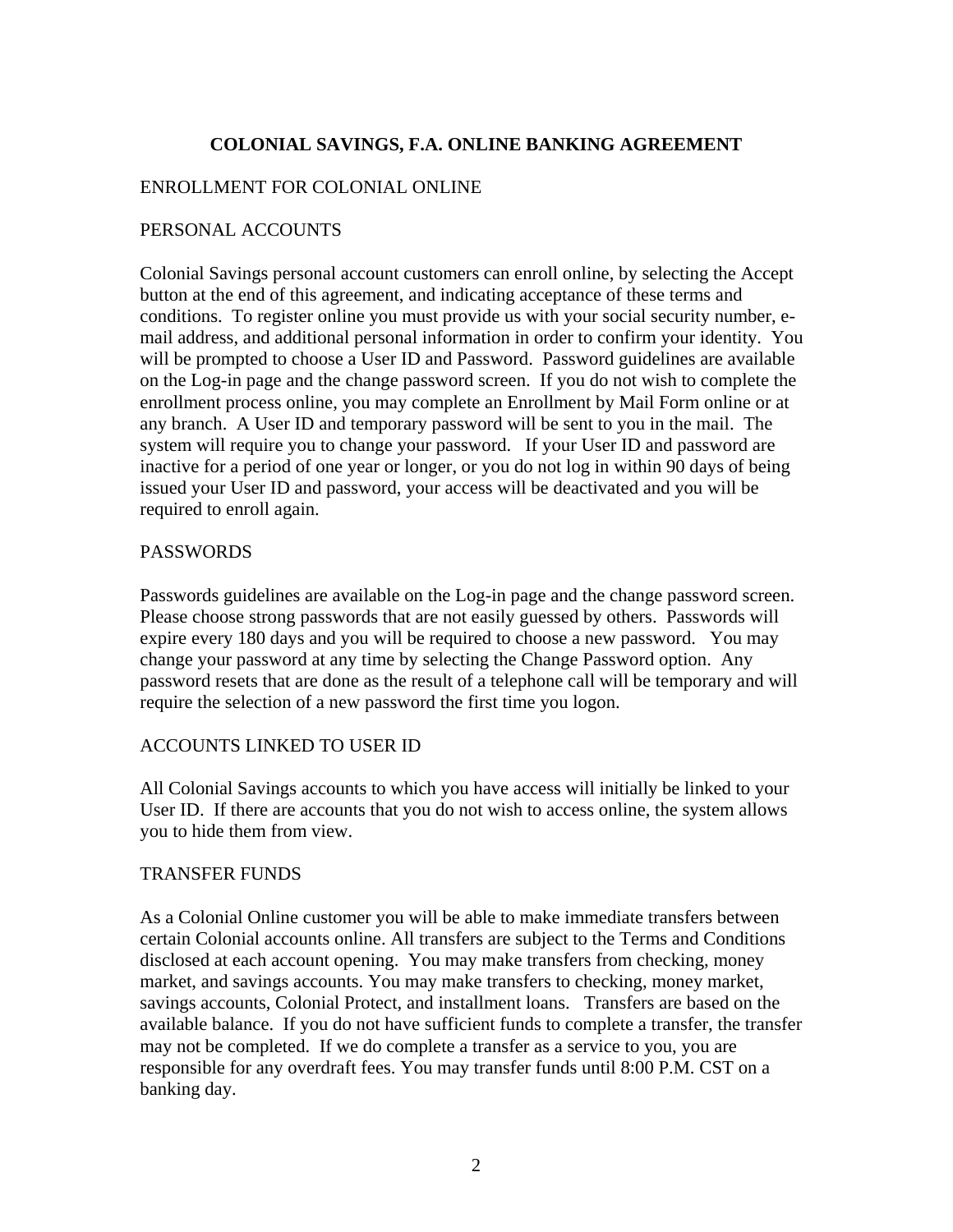#### ENROLLMENT FOR COLONIAL ONLINE

#### PERSONAL ACCOUNTS

Colonial Savings personal account customers can enroll online, by selecting the Accept button at the end of this agreement, and indicating acceptance of these terms and conditions. To register online you must provide us with your social security number, email address, and additional personal information in order to confirm your identity. You will be prompted to choose a User ID and Password. Password guidelines are available on the Log-in page and the change password screen. If you do not wish to complete the enrollment process online, you may complete an Enrollment by Mail Form online or at any branch. A User ID and temporary password will be sent to you in the mail. The system will require you to change your password. If your User ID and password are inactive for a period of one year or longer, or you do not log in within 90 days of being issued your User ID and password, your access will be deactivated and you will be required to enroll again.

#### PASSWORDS

Passwords guidelines are available on the Log-in page and the change password screen. Please choose strong passwords that are not easily guessed by others. Passwords will expire every 180 days and you will be required to choose a new password. You may change your password at any time by selecting the Change Password option. Any password resets that are done as the result of a telephone call will be temporary and will require the selection of a new password the first time you logon.

#### ACCOUNTS LINKED TO USER ID

All Colonial Savings accounts to which you have access will initially be linked to your User ID. If there are accounts that you do not wish to access online, the system allows you to hide them from view.

#### TRANSFER FUNDS

As a Colonial Online customer you will be able to make immediate transfers between certain Colonial accounts online. All transfers are subject to the Terms and Conditions disclosed at each account opening. You may make transfers from checking, money market, and savings accounts. You may make transfers to checking, money market, savings accounts, Colonial Protect, and installment loans. Transfers are based on the available balance. If you do not have sufficient funds to complete a transfer, the transfer may not be completed. If we do complete a transfer as a service to you, you are responsible for any overdraft fees. You may transfer funds until 8:00 P.M. CST on a banking day.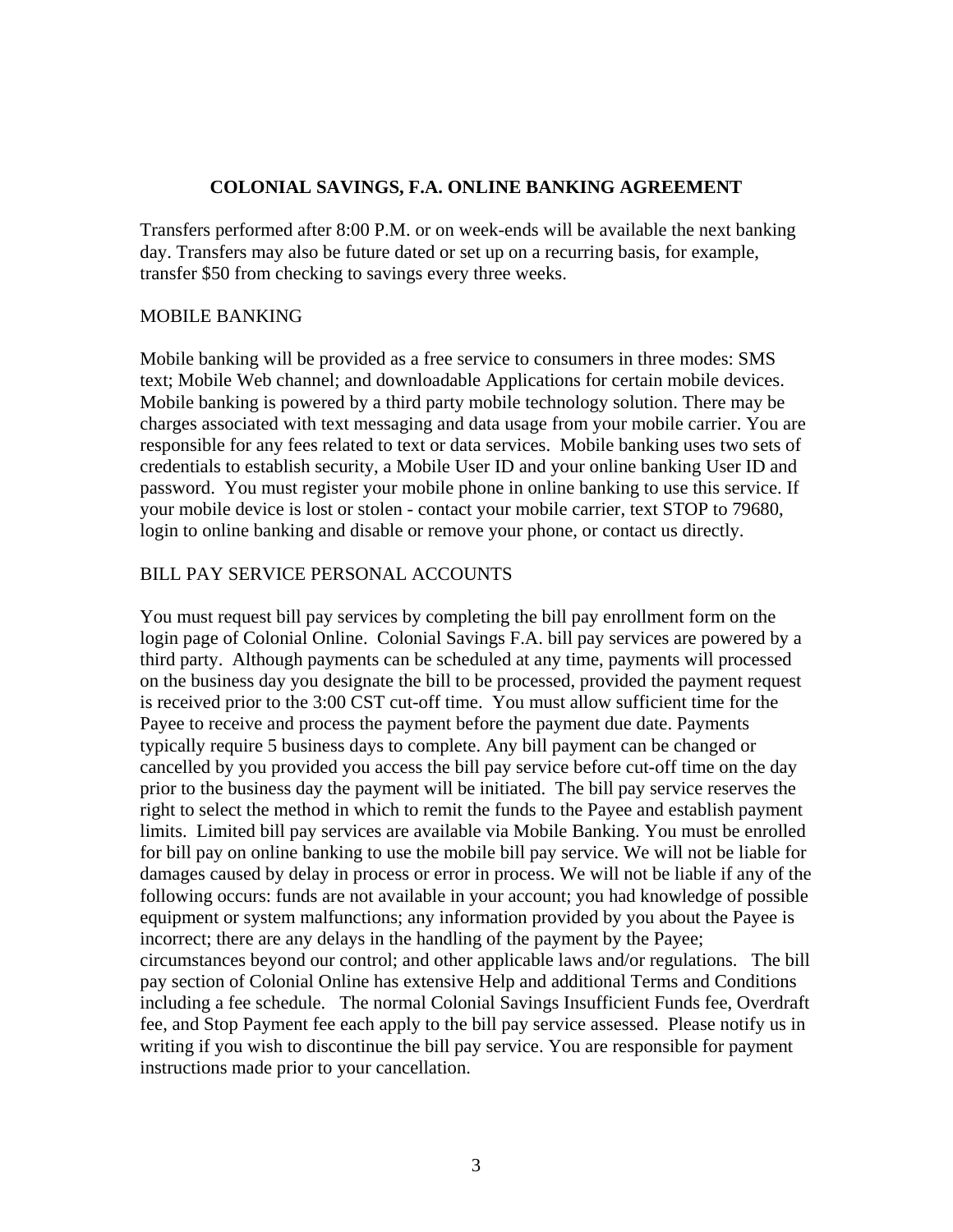Transfers performed after 8:00 P.M. or on week-ends will be available the next banking day. Transfers may also be future dated or set up on a recurring basis, for example, transfer \$50 from checking to savings every three weeks.

#### MOBILE BANKING

Mobile banking will be provided as a free service to consumers in three modes: SMS text; Mobile Web channel; and downloadable Applications for certain mobile devices. Mobile banking is powered by a third party mobile technology solution. There may be charges associated with text messaging and data usage from your mobile carrier. You are responsible for any fees related to text or data services. Mobile banking uses two sets of credentials to establish security, a Mobile User ID and your online banking User ID and password. You must register your mobile phone in online banking to use this service. If your mobile device is lost or stolen - contact your mobile carrier, text STOP to 79680, login to online banking and disable or remove your phone, or contact us directly.

#### BILL PAY SERVICE PERSONAL ACCOUNTS

You must request bill pay services by completing the bill pay enrollment form on the login page of Colonial Online. Colonial Savings F.A. bill pay services are powered by a third party. Although payments can be scheduled at any time, payments will processed on the business day you designate the bill to be processed, provided the payment request is received prior to the 3:00 CST cut-off time. You must allow sufficient time for the Payee to receive and process the payment before the payment due date. Payments typically require 5 business days to complete. Any bill payment can be changed or cancelled by you provided you access the bill pay service before cut-off time on the day prior to the business day the payment will be initiated. The bill pay service reserves the right to select the method in which to remit the funds to the Payee and establish payment limits. Limited bill pay services are available via Mobile Banking. You must be enrolled for bill pay on online banking to use the mobile bill pay service. We will not be liable for damages caused by delay in process or error in process. We will not be liable if any of the following occurs: funds are not available in your account; you had knowledge of possible equipment or system malfunctions; any information provided by you about the Payee is incorrect; there are any delays in the handling of the payment by the Payee; circumstances beyond our control; and other applicable laws and/or regulations. The bill pay section of Colonial Online has extensive Help and additional Terms and Conditions including a fee schedule. The normal Colonial Savings Insufficient Funds fee, Overdraft fee, and Stop Payment fee each apply to the bill pay service assessed. Please notify us in writing if you wish to discontinue the bill pay service. You are responsible for payment instructions made prior to your cancellation.